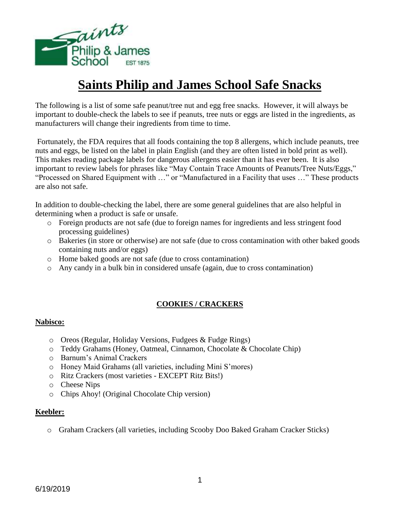

# **Saints Philip and James School Safe Snacks**

The following is a list of some safe peanut/tree nut and egg free snacks. However, it will always be important to double-check the labels to see if peanuts, tree nuts or eggs are listed in the ingredients, as manufacturers will change their ingredients from time to time.

Fortunately, the FDA requires that all foods containing the top 8 allergens, which include peanuts, tree nuts and eggs, be listed on the label in plain English (and they are often listed in bold print as well). This makes reading package labels for dangerous allergens easier than it has ever been. It is also important to review labels for phrases like "May Contain Trace Amounts of Peanuts/Tree Nuts/Eggs," "Processed on Shared Equipment with …" or "Manufactured in a Facility that uses …" These products are also not safe.

In addition to double-checking the label, there are some general guidelines that are also helpful in determining when a product is safe or unsafe.

- o Foreign products are not safe (due to foreign names for ingredients and less stringent food processing guidelines)
- o Bakeries (in store or otherwise) are not safe (due to cross contamination with other baked goods containing nuts and/or eggs)
- o Home baked goods are not safe (due to cross contamination)
- o Any candy in a bulk bin in considered unsafe (again, due to cross contamination)

# **COOKIES / CRACKERS**

#### **Nabisco:**

- o Oreos (Regular, Holiday Versions, Fudgees & Fudge Rings)
- o Teddy Grahams (Honey, Oatmeal, Cinnamon, Chocolate & Chocolate Chip)
- o Barnum's Animal Crackers
- o Honey Maid Grahams (all varieties, including Mini S'mores)
- o Ritz Crackers (most varieties EXCEPT Ritz Bits!)
- o Cheese Nips
- o Chips Ahoy! (Original Chocolate Chip version)

#### **Keebler:**

o Graham Crackers (all varieties, including Scooby Doo Baked Graham Cracker Sticks)